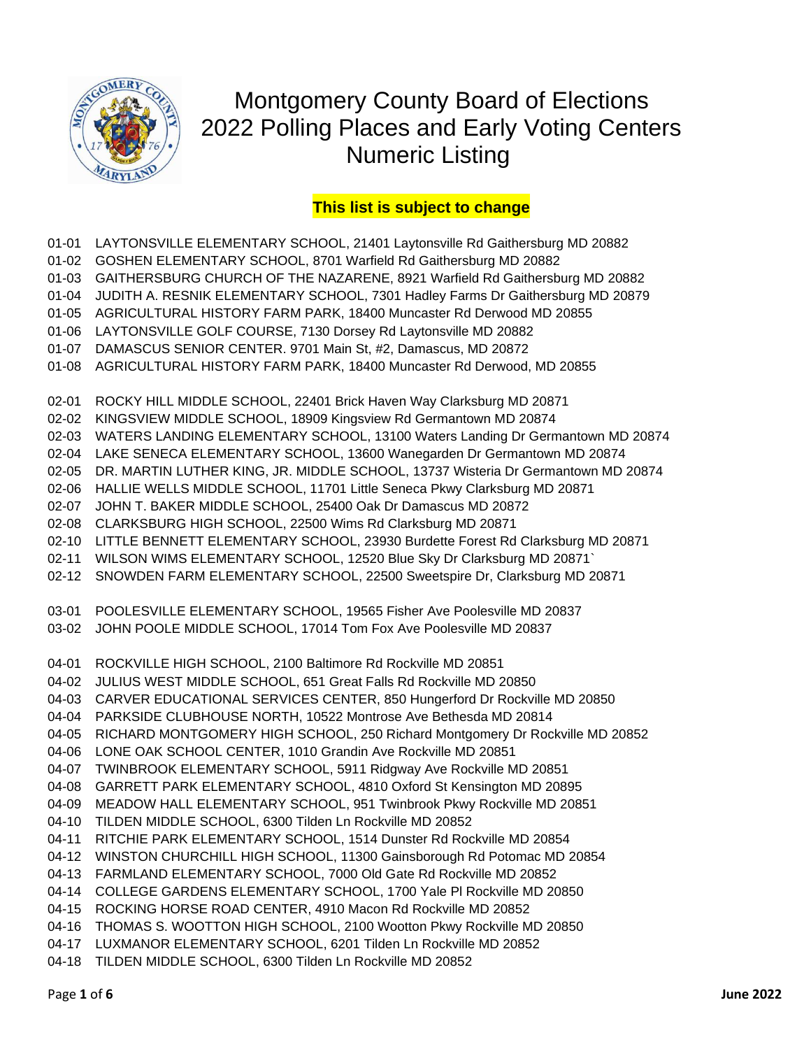

## Montgomery County Board of Elections 2022 Polling Places and Early Voting Centers Numeric Listing

## **This list is subject to change**

- 01-01 LAYTONSVILLE ELEMENTARY SCHOOL, 21401 Laytonsville Rd Gaithersburg MD 20882
- 01-02 GOSHEN ELEMENTARY SCHOOL, 8701 Warfield Rd Gaithersburg MD 20882
- 01-03 GAITHERSBURG CHURCH OF THE NAZARENE, 8921 Warfield Rd Gaithersburg MD 20882
- 01-04 JUDITH A. RESNIK ELEMENTARY SCHOOL, 7301 Hadley Farms Dr Gaithersburg MD 20879
- 01-05 AGRICULTURAL HISTORY FARM PARK, 18400 Muncaster Rd Derwood MD 20855
- 01-06 LAYTONSVILLE GOLF COURSE, 7130 Dorsey Rd Laytonsville MD 20882
- 01-07 DAMASCUS SENIOR CENTER. 9701 Main St, #2, Damascus, MD 20872
- 01-08 AGRICULTURAL HISTORY FARM PARK, 18400 Muncaster Rd Derwood, MD 20855
- 02-01 ROCKY HILL MIDDLE SCHOOL, 22401 Brick Haven Way Clarksburg MD 20871
- 02-02 KINGSVIEW MIDDLE SCHOOL, 18909 Kingsview Rd Germantown MD 20874
- 02-03 WATERS LANDING ELEMENTARY SCHOOL, 13100 Waters Landing Dr Germantown MD 20874
- 02-04 LAKE SENECA ELEMENTARY SCHOOL, 13600 Wanegarden Dr Germantown MD 20874
- 02-05 DR. MARTIN LUTHER KING, JR. MIDDLE SCHOOL, 13737 Wisteria Dr Germantown MD 20874
- 02-06 HALLIE WELLS MIDDLE SCHOOL, 11701 Little Seneca Pkwy Clarksburg MD 20871
- 02-07 JOHN T. BAKER MIDDLE SCHOOL, 25400 Oak Dr Damascus MD 20872
- 02-08 CLARKSBURG HIGH SCHOOL, 22500 Wims Rd Clarksburg MD 20871
- 02-10 LITTLE BENNETT ELEMENTARY SCHOOL, 23930 Burdette Forest Rd Clarksburg MD 20871
- 02-11 WILSON WIMS ELEMENTARY SCHOOL, 12520 Blue Sky Dr Clarksburg MD 20871`
- 02-12 SNOWDEN FARM ELEMENTARY SCHOOL, 22500 Sweetspire Dr, Clarksburg MD 20871
- 03-01 POOLESVILLE ELEMENTARY SCHOOL, 19565 Fisher Ave Poolesville MD 20837
- 03-02 JOHN POOLE MIDDLE SCHOOL, 17014 Tom Fox Ave Poolesville MD 20837
- 04-01 ROCKVILLE HIGH SCHOOL, 2100 Baltimore Rd Rockville MD 20851
- 04-02 JULIUS WEST MIDDLE SCHOOL, 651 Great Falls Rd Rockville MD 20850
- 04-03 CARVER EDUCATIONAL SERVICES CENTER, 850 Hungerford Dr Rockville MD 20850
- 04-04 PARKSIDE CLUBHOUSE NORTH, 10522 Montrose Ave Bethesda MD 20814
- 04-05 RICHARD MONTGOMERY HIGH SCHOOL, 250 Richard Montgomery Dr Rockville MD 20852
- 04-06 LONE OAK SCHOOL CENTER, 1010 Grandin Ave Rockville MD 20851
- 04-07 TWINBROOK ELEMENTARY SCHOOL, 5911 Ridgway Ave Rockville MD 20851
- 04-08 GARRETT PARK ELEMENTARY SCHOOL, 4810 Oxford St Kensington MD 20895
- 04-09 MEADOW HALL ELEMENTARY SCHOOL, 951 Twinbrook Pkwy Rockville MD 20851
- 04-10 TILDEN MIDDLE SCHOOL, 6300 Tilden Ln Rockville MD 20852
- 04-11 RITCHIE PARK ELEMENTARY SCHOOL, 1514 Dunster Rd Rockville MD 20854
- 04-12 WINSTON CHURCHILL HIGH SCHOOL, 11300 Gainsborough Rd Potomac MD 20854
- 04-13 FARMLAND ELEMENTARY SCHOOL, 7000 Old Gate Rd Rockville MD 20852
- 04-14 COLLEGE GARDENS ELEMENTARY SCHOOL, 1700 Yale Pl Rockville MD 20850
- 04-15 ROCKING HORSE ROAD CENTER, 4910 Macon Rd Rockville MD 20852
- 04-16 THOMAS S. WOOTTON HIGH SCHOOL, 2100 Wootton Pkwy Rockville MD 20850
- 04-17 LUXMANOR ELEMENTARY SCHOOL, 6201 Tilden Ln Rockville MD 20852
- 04-18 TILDEN MIDDLE SCHOOL, 6300 Tilden Ln Rockville MD 20852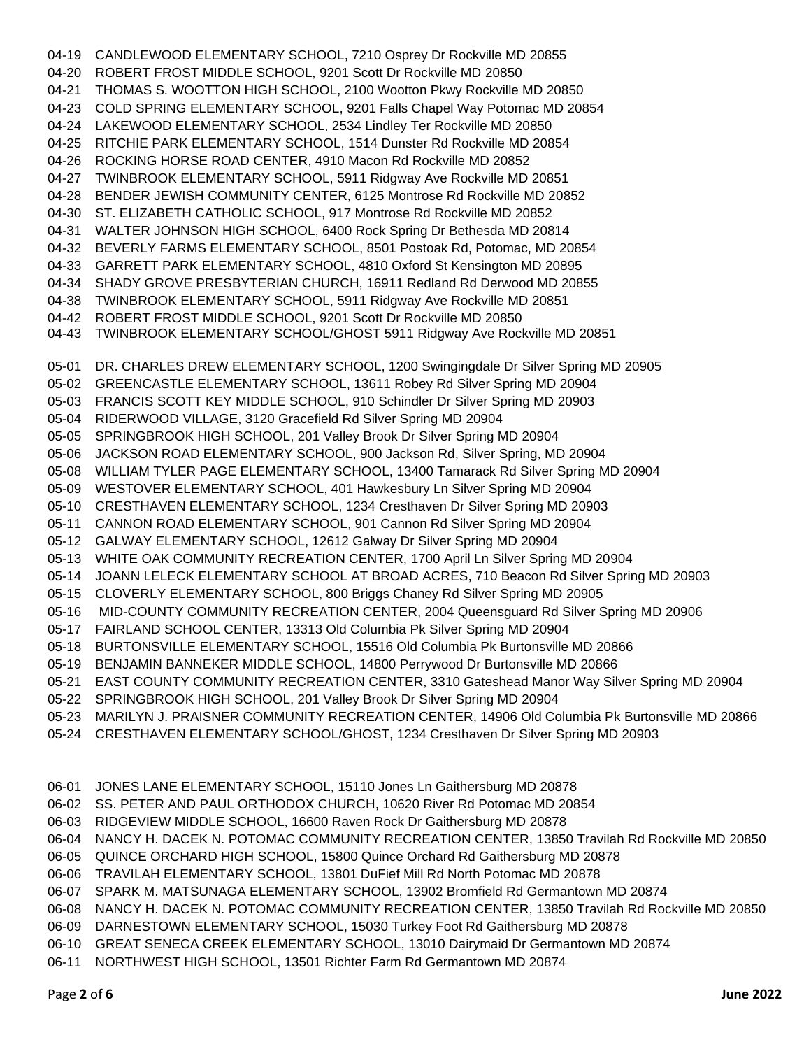04-19 CANDLEWOOD ELEMENTARY SCHOOL, 7210 Osprey Dr Rockville MD 20855 04-20 ROBERT FROST MIDDLE SCHOOL, 9201 Scott Dr Rockville MD 20850 04-21 THOMAS S. WOOTTON HIGH SCHOOL, 2100 Wootton Pkwy Rockville MD 20850 04-23 COLD SPRING ELEMENTARY SCHOOL, 9201 Falls Chapel Way Potomac MD 20854 04-24 LAKEWOOD ELEMENTARY SCHOOL, 2534 Lindley Ter Rockville MD 20850 04-25 RITCHIE PARK ELEMENTARY SCHOOL, 1514 Dunster Rd Rockville MD 20854 04-26 ROCKING HORSE ROAD CENTER, 4910 Macon Rd Rockville MD 20852 04-27 TWINBROOK ELEMENTARY SCHOOL, 5911 Ridgway Ave Rockville MD 20851 04-28 BENDER JEWISH COMMUNITY CENTER, 6125 Montrose Rd Rockville MD 20852 04-30 ST. ELIZABETH CATHOLIC SCHOOL, 917 Montrose Rd Rockville MD 20852 04-31 WALTER JOHNSON HIGH SCHOOL, 6400 Rock Spring Dr Bethesda MD 20814 04-32 BEVERLY FARMS ELEMENTARY SCHOOL, 8501 Postoak Rd, Potomac, MD 20854 04-33 GARRETT PARK ELEMENTARY SCHOOL, 4810 Oxford St Kensington MD 20895 04-34 SHADY GROVE PRESBYTERIAN CHURCH, 16911 Redland Rd Derwood MD 20855 04-38 TWINBROOK ELEMENTARY SCHOOL, 5911 Ridgway Ave Rockville MD 20851 04-42 ROBERT FROST MIDDLE SCHOOL, 9201 Scott Dr Rockville MD 20850 04-43 TWINBROOK ELEMENTARY SCHOOL/GHOST 5911 Ridgway Ave Rockville MD 20851 05-01 DR. CHARLES DREW ELEMENTARY SCHOOL, 1200 Swingingdale Dr Silver Spring MD 20905 05-02 GREENCASTLE ELEMENTARY SCHOOL, 13611 Robey Rd Silver Spring MD 20904 05-03 FRANCIS SCOTT KEY MIDDLE SCHOOL, 910 Schindler Dr Silver Spring MD 20903 05-04 RIDERWOOD VILLAGE, 3120 Gracefield Rd Silver Spring MD 20904 05-05 SPRINGBROOK HIGH SCHOOL, 201 Valley Brook Dr Silver Spring MD 20904 05-06 JACKSON ROAD ELEMENTARY SCHOOL, 900 Jackson Rd, Silver Spring, MD 20904 05-08 WILLIAM TYLER PAGE ELEMENTARY SCHOOL, 13400 Tamarack Rd Silver Spring MD 20904 05-09 WESTOVER ELEMENTARY SCHOOL, 401 Hawkesbury Ln Silver Spring MD 20904 05-10 CRESTHAVEN ELEMENTARY SCHOOL, 1234 Cresthaven Dr Silver Spring MD 20903 05-11 CANNON ROAD ELEMENTARY SCHOOL, 901 Cannon Rd Silver Spring MD 20904 05-12 GALWAY ELEMENTARY SCHOOL, 12612 Galway Dr Silver Spring MD 20904 05-13 WHITE OAK COMMUNITY RECREATION CENTER, 1700 April Ln Silver Spring MD 20904 05-14 JOANN LELECK ELEMENTARY SCHOOL AT BROAD ACRES, 710 Beacon Rd Silver Spring MD 20903 05-15 CLOVERLY ELEMENTARY SCHOOL, 800 Briggs Chaney Rd Silver Spring MD 20905 05-16 MID-COUNTY COMMUNITY RECREATION CENTER, 2004 Queensguard Rd Silver Spring MD 20906 05-17 FAIRLAND SCHOOL CENTER, 13313 Old Columbia Pk Silver Spring MD 20904 05-18 BURTONSVILLE ELEMENTARY SCHOOL, 15516 Old Columbia Pk Burtonsville MD 20866 05-19 BENJAMIN BANNEKER MIDDLE SCHOOL, 14800 Perrywood Dr Burtonsville MD 20866 05-21 EAST COUNTY COMMUNITY RECREATION CENTER, 3310 Gateshead Manor Way Silver Spring MD 20904 05-22 SPRINGBROOK HIGH SCHOOL, 201 Valley Brook Dr Silver Spring MD 20904 05-23 MARILYN J. PRAISNER COMMUNITY RECREATION CENTER, 14906 Old Columbia Pk Burtonsville MD 20866 05-24 CRESTHAVEN ELEMENTARY SCHOOL/GHOST, 1234 Cresthaven Dr Silver Spring MD 20903 06-01 JONES LANE ELEMENTARY SCHOOL, 15110 Jones Ln Gaithersburg MD 20878

06-02 SS. PETER AND PAUL ORTHODOX CHURCH, 10620 River Rd Potomac MD 20854

06-03 RIDGEVIEW MIDDLE SCHOOL, 16600 Raven Rock Dr Gaithersburg MD 20878

06-04 NANCY H. DACEK N. POTOMAC COMMUNITY RECREATION CENTER, 13850 Travilah Rd Rockville MD 20850

06-05 QUINCE ORCHARD HIGH SCHOOL, 15800 Quince Orchard Rd Gaithersburg MD 20878

06-06 TRAVILAH ELEMENTARY SCHOOL, 13801 DuFief Mill Rd North Potomac MD 20878

06-07 SPARK M. MATSUNAGA ELEMENTARY SCHOOL, 13902 Bromfield Rd Germantown MD 20874

06-08 NANCY H. DACEK N. POTOMAC COMMUNITY RECREATION CENTER, 13850 Travilah Rd Rockville MD 20850

06-09 DARNESTOWN ELEMENTARY SCHOOL, 15030 Turkey Foot Rd Gaithersburg MD 20878

06-10 GREAT SENECA CREEK ELEMENTARY SCHOOL, 13010 Dairymaid Dr Germantown MD 20874

06-11 NORTHWEST HIGH SCHOOL, 13501 Richter Farm Rd Germantown MD 20874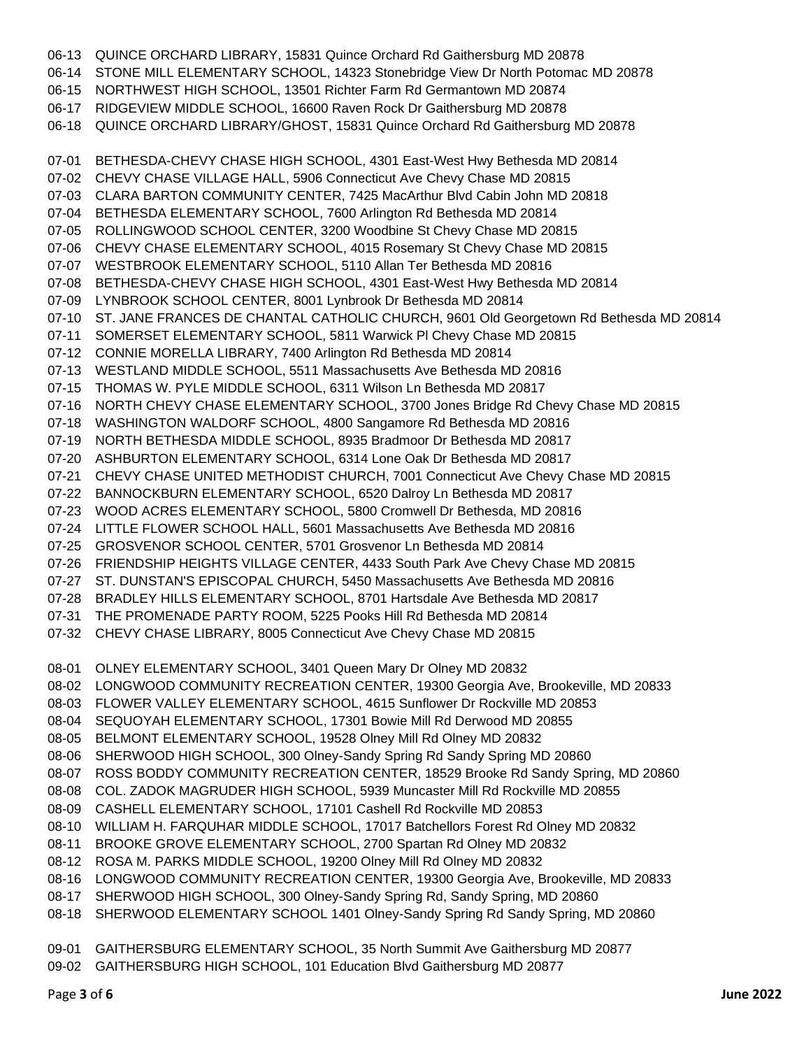06-13 QUINCE ORCHARD LIBRARY, 15831 Quince Orchard Rd Gaithersburg MD 20878 06-14 STONE MILL ELEMENTARY SCHOOL, 14323 Stonebridge View Dr North Potomac MD 20878 06-15 NORTHWEST HIGH SCHOOL, 13501 Richter Farm Rd Germantown MD 20874 06-17 RIDGEVIEW MIDDLE SCHOOL, 16600 Raven Rock Dr Gaithersburg MD 20878 06-18 QUINCE ORCHARD LIBRARY/GHOST, 15831 Quince Orchard Rd Gaithersburg MD 20878 07-01 BETHESDA-CHEVY CHASE HIGH SCHOOL, 4301 East-West Hwy Bethesda MD 20814 07-02 CHEVY CHASE VILLAGE HALL, 5906 Connecticut Ave Chevy Chase MD 20815 07-03 CLARA BARTON COMMUNITY CENTER, 7425 MacArthur Blvd Cabin John MD 20818 07-04 BETHESDA ELEMENTARY SCHOOL, 7600 Arlington Rd Bethesda MD 20814 07-05 ROLLINGWOOD SCHOOL CENTER, 3200 Woodbine St Chevy Chase MD 20815 07-06 CHEVY CHASE ELEMENTARY SCHOOL, 4015 Rosemary St Chevy Chase MD 20815 07-07 WESTBROOK ELEMENTARY SCHOOL, 5110 Allan Ter Bethesda MD 20816 07-08 BETHESDA-CHEVY CHASE HIGH SCHOOL, 4301 East-West Hwy Bethesda MD 20814 07-09 LYNBROOK SCHOOL CENTER, 8001 Lynbrook Dr Bethesda MD 20814 07-10 ST. JANE FRANCES DE CHANTAL CATHOLIC CHURCH, 9601 Old Georgetown Rd Bethesda MD 20814 07-11 SOMERSET ELEMENTARY SCHOOL, 5811 Warwick Pl Chevy Chase MD 20815 07-12 CONNIE MORELLA LIBRARY, 7400 Arlington Rd Bethesda MD 20814 07-13 WESTLAND MIDDLE SCHOOL, 5511 Massachusetts Ave Bethesda MD 20816 07-15 THOMAS W. PYLE MIDDLE SCHOOL, 6311 Wilson Ln Bethesda MD 20817 07-16 NORTH CHEVY CHASE ELEMENTARY SCHOOL, 3700 Jones Bridge Rd Chevy Chase MD 20815 07-18 WASHINGTON WALDORF SCHOOL, 4800 Sangamore Rd Bethesda MD 20816 07-19 NORTH BETHESDA MIDDLE SCHOOL, 8935 Bradmoor Dr Bethesda MD 20817 07-20 ASHBURTON ELEMENTARY SCHOOL, 6314 Lone Oak Dr Bethesda MD 20817 07-21 CHEVY CHASE UNITED METHODIST CHURCH, 7001 Connecticut Ave Chevy Chase MD 20815 07-22 BANNOCKBURN ELEMENTARY SCHOOL, 6520 Dalroy Ln Bethesda MD 20817 07-23 WOOD ACRES ELEMENTARY SCHOOL, 5800 Cromwell Dr Bethesda, MD 20816 07-24 LITTLE FLOWER SCHOOL HALL, 5601 Massachusetts Ave Bethesda MD 20816 07-25 GROSVENOR SCHOOL CENTER, 5701 Grosvenor Ln Bethesda MD 20814 07-26 FRIENDSHIP HEIGHTS VILLAGE CENTER, 4433 South Park Ave Chevy Chase MD 20815 07-27 ST. DUNSTAN'S EPISCOPAL CHURCH, 5450 Massachusetts Ave Bethesda MD 20816 07-28 BRADLEY HILLS ELEMENTARY SCHOOL, 8701 Hartsdale Ave Bethesda MD 20817 07-31 THE PROMENADE PARTY ROOM, 5225 Pooks Hill Rd Bethesda MD 20814 07-32 CHEVY CHASE LIBRARY, 8005 Connecticut Ave Chevy Chase MD 20815 08-01 OLNEY ELEMENTARY SCHOOL, 3401 Queen Mary Dr Olney MD 20832 08-02 LONGWOOD COMMUNITY RECREATION CENTER, 19300 Georgia Ave, Brookeville, MD 20833 08-03 FLOWER VALLEY ELEMENTARY SCHOOL, 4615 Sunflower Dr Rockville MD 20853 08-04 SEQUOYAH ELEMENTARY SCHOOL, 17301 Bowie Mill Rd Derwood MD 20855 08-05 BELMONT ELEMENTARY SCHOOL, 19528 Olney Mill Rd Olney MD 20832 08-06 SHERWOOD HIGH SCHOOL, 300 Olney-Sandy Spring Rd Sandy Spring MD 20860 08-07 ROSS BODDY COMMUNITY RECREATION CENTER, 18529 Brooke Rd Sandy Spring, MD 20860 08-08 COL. ZADOK MAGRUDER HIGH SCHOOL, 5939 Muncaster Mill Rd Rockville MD 20855 08-09 CASHELL ELEMENTARY SCHOOL, 17101 Cashell Rd Rockville MD 20853 08-10 WILLIAM H. FARQUHAR MIDDLE SCHOOL, 17017 Batchellors Forest Rd Olney MD 20832 08-11 BROOKE GROVE ELEMENTARY SCHOOL, 2700 Spartan Rd Olney MD 20832 08-12 ROSA M. PARKS MIDDLE SCHOOL, 19200 Olney Mill Rd Olney MD 20832 08-16 LONGWOOD COMMUNITY RECREATION CENTER, 19300 Georgia Ave, Brookeville, MD 20833 08-17 SHERWOOD HIGH SCHOOL, 300 Olney-Sandy Spring Rd, Sandy Spring, MD 20860 08-18 SHERWOOD ELEMENTARY SCHOOL 1401 Olney-Sandy Spring Rd Sandy Spring, MD 20860 09-01 GAITHERSBURG ELEMENTARY SCHOOL, 35 North Summit Ave Gaithersburg MD 20877

09-02 GAITHERSBURG HIGH SCHOOL, 101 Education Blvd Gaithersburg MD 20877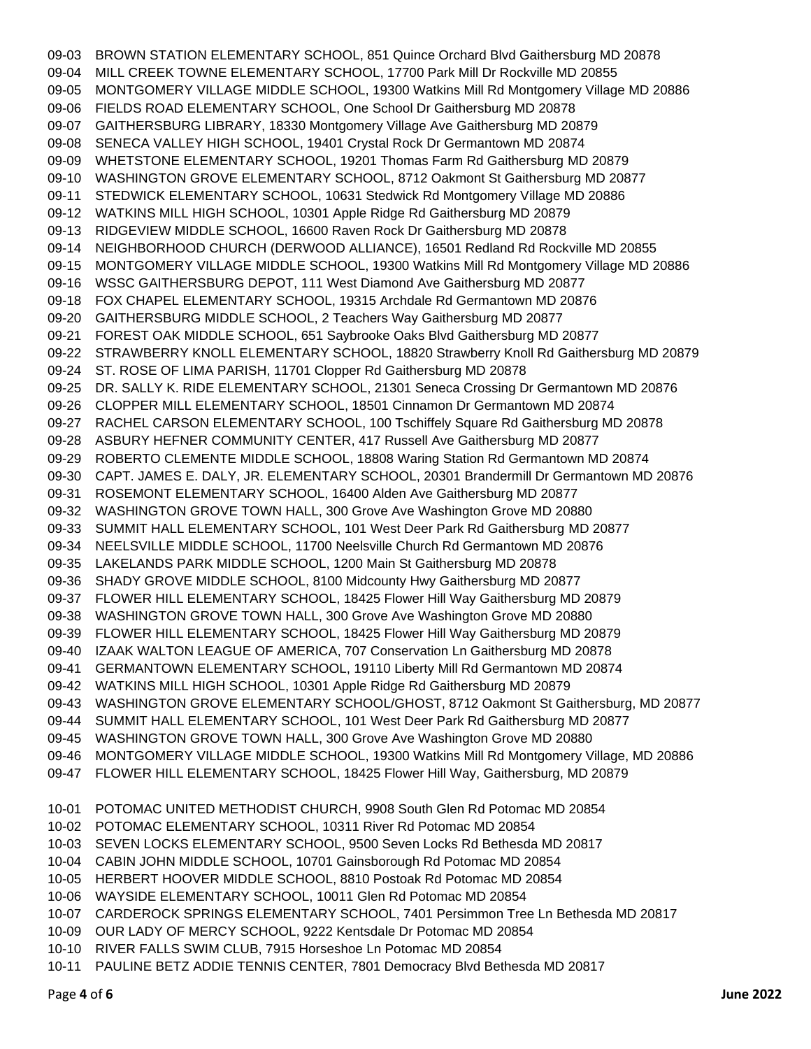09-03 BROWN STATION ELEMENTARY SCHOOL, 851 Quince Orchard Blvd Gaithersburg MD 20878 09-04 MILL CREEK TOWNE ELEMENTARY SCHOOL, 17700 Park Mill Dr Rockville MD 20855 09-05 MONTGOMERY VILLAGE MIDDLE SCHOOL, 19300 Watkins Mill Rd Montgomery Village MD 20886 09-06 FIELDS ROAD ELEMENTARY SCHOOL, One School Dr Gaithersburg MD 20878 09-07 GAITHERSBURG LIBRARY, 18330 Montgomery Village Ave Gaithersburg MD 20879 09-08 SENECA VALLEY HIGH SCHOOL, 19401 Crystal Rock Dr Germantown MD 20874 09-09 WHETSTONE ELEMENTARY SCHOOL, 19201 Thomas Farm Rd Gaithersburg MD 20879 09-10 WASHINGTON GROVE ELEMENTARY SCHOOL, 8712 Oakmont St Gaithersburg MD 20877 09-11 STEDWICK ELEMENTARY SCHOOL, 10631 Stedwick Rd Montgomery Village MD 20886 09-12 WATKINS MILL HIGH SCHOOL, 10301 Apple Ridge Rd Gaithersburg MD 20879 09-13 RIDGEVIEW MIDDLE SCHOOL, 16600 Raven Rock Dr Gaithersburg MD 20878 09-14 NEIGHBORHOOD CHURCH (DERWOOD ALLIANCE), 16501 Redland Rd Rockville MD 20855 09-15 MONTGOMERY VILLAGE MIDDLE SCHOOL, 19300 Watkins Mill Rd Montgomery Village MD 20886 09-16 WSSC GAITHERSBURG DEPOT, 111 West Diamond Ave Gaithersburg MD 20877 09-18 FOX CHAPEL ELEMENTARY SCHOOL, 19315 Archdale Rd Germantown MD 20876 09-20 GAITHERSBURG MIDDLE SCHOOL, 2 Teachers Way Gaithersburg MD 20877 09-21 FOREST OAK MIDDLE SCHOOL, 651 Saybrooke Oaks Blvd Gaithersburg MD 20877 09-22 STRAWBERRY KNOLL ELEMENTARY SCHOOL, 18820 Strawberry Knoll Rd Gaithersburg MD 20879 09-24 ST. ROSE OF LIMA PARISH, 11701 Clopper Rd Gaithersburg MD 20878 09-25 DR. SALLY K. RIDE ELEMENTARY SCHOOL, 21301 Seneca Crossing Dr Germantown MD 20876 09-26 CLOPPER MILL ELEMENTARY SCHOOL, 18501 Cinnamon Dr Germantown MD 20874 09-27 RACHEL CARSON ELEMENTARY SCHOOL, 100 Tschiffely Square Rd Gaithersburg MD 20878 09-28 ASBURY HEFNER COMMUNITY CENTER, 417 Russell Ave Gaithersburg MD 20877 09-29 ROBERTO CLEMENTE MIDDLE SCHOOL, 18808 Waring Station Rd Germantown MD 20874 09-30 CAPT. JAMES E. DALY, JR. ELEMENTARY SCHOOL, 20301 Brandermill Dr Germantown MD 20876 09-31 ROSEMONT ELEMENTARY SCHOOL, 16400 Alden Ave Gaithersburg MD 20877 09-32 WASHINGTON GROVE TOWN HALL, 300 Grove Ave Washington Grove MD 20880 09-33 SUMMIT HALL ELEMENTARY SCHOOL, 101 West Deer Park Rd Gaithersburg MD 20877 09-34 NEELSVILLE MIDDLE SCHOOL, 11700 Neelsville Church Rd Germantown MD 20876 09-35 LAKELANDS PARK MIDDLE SCHOOL, 1200 Main St Gaithersburg MD 20878 09-36 SHADY GROVE MIDDLE SCHOOL, 8100 Midcounty Hwy Gaithersburg MD 20877 09-37 FLOWER HILL ELEMENTARY SCHOOL, 18425 Flower Hill Way Gaithersburg MD 20879 09-38 WASHINGTON GROVE TOWN HALL, 300 Grove Ave Washington Grove MD 20880 09-39 FLOWER HILL ELEMENTARY SCHOOL, 18425 Flower Hill Way Gaithersburg MD 20879 09-40 IZAAK WALTON LEAGUE OF AMERICA, 707 Conservation Ln Gaithersburg MD 20878 09-41 GERMANTOWN ELEMENTARY SCHOOL, 19110 Liberty Mill Rd Germantown MD 20874 09-42 WATKINS MILL HIGH SCHOOL, 10301 Apple Ridge Rd Gaithersburg MD 20879 09-43 WASHINGTON GROVE ELEMENTARY SCHOOL/GHOST, 8712 Oakmont St Gaithersburg, MD 20877 09-44 SUMMIT HALL ELEMENTARY SCHOOL, 101 West Deer Park Rd Gaithersburg MD 20877 09-45 WASHINGTON GROVE TOWN HALL, 300 Grove Ave Washington Grove MD 20880 09-46 MONTGOMERY VILLAGE MIDDLE SCHOOL, 19300 Watkins Mill Rd Montgomery Village, MD 20886 09-47 FLOWER HILL ELEMENTARY SCHOOL, 18425 Flower Hill Way, Gaithersburg, MD 20879 10-01 POTOMAC UNITED METHODIST CHURCH, 9908 South Glen Rd Potomac MD 20854 10-02 POTOMAC ELEMENTARY SCHOOL, 10311 River Rd Potomac MD 20854 10-03 SEVEN LOCKS ELEMENTARY SCHOOL, 9500 Seven Locks Rd Bethesda MD 20817 10-04 CABIN JOHN MIDDLE SCHOOL, 10701 Gainsborough Rd Potomac MD 20854 10-05 HERBERT HOOVER MIDDLE SCHOOL, 8810 Postoak Rd Potomac MD 20854 10-06 WAYSIDE ELEMENTARY SCHOOL, 10011 Glen Rd Potomac MD 20854 10-07 CARDEROCK SPRINGS ELEMENTARY SCHOOL, 7401 Persimmon Tree Ln Bethesda MD 20817 10-09 OUR LADY OF MERCY SCHOOL, 9222 Kentsdale Dr Potomac MD 20854

- 10-10 RIVER FALLS SWIM CLUB, 7915 Horseshoe Ln Potomac MD 20854
- 10-11 PAULINE BETZ ADDIE TENNIS CENTER, 7801 Democracy Blvd Bethesda MD 20817

Page **4** of **6 June 2022**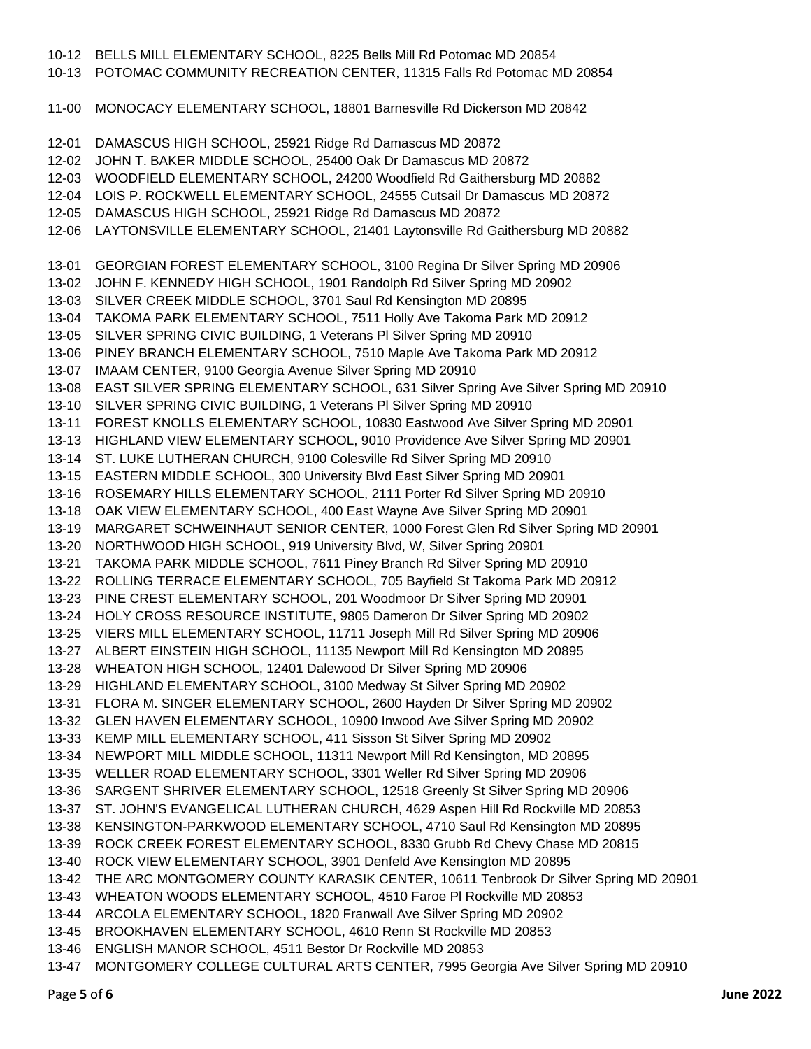10-12 BELLS MILL ELEMENTARY SCHOOL, 8225 Bells Mill Rd Potomac MD 20854 10-13 POTOMAC COMMUNITY RECREATION CENTER, 11315 Falls Rd Potomac MD 20854 11-00 MONOCACY ELEMENTARY SCHOOL, 18801 Barnesville Rd Dickerson MD 20842 12-01 DAMASCUS HIGH SCHOOL, 25921 Ridge Rd Damascus MD 20872 12-02 JOHN T. BAKER MIDDLE SCHOOL, 25400 Oak Dr Damascus MD 20872 12-03 WOODFIELD ELEMENTARY SCHOOL, 24200 Woodfield Rd Gaithersburg MD 20882 12-04 LOIS P. ROCKWELL ELEMENTARY SCHOOL, 24555 Cutsail Dr Damascus MD 20872 12-05 DAMASCUS HIGH SCHOOL, 25921 Ridge Rd Damascus MD 20872 12-06 LAYTONSVILLE ELEMENTARY SCHOOL, 21401 Laytonsville Rd Gaithersburg MD 20882 13-01 GEORGIAN FOREST ELEMENTARY SCHOOL, 3100 Regina Dr Silver Spring MD 20906 13-02 JOHN F. KENNEDY HIGH SCHOOL, 1901 Randolph Rd Silver Spring MD 20902 13-03 SILVER CREEK MIDDLE SCHOOL, 3701 Saul Rd Kensington MD 20895 13-04 TAKOMA PARK ELEMENTARY SCHOOL, 7511 Holly Ave Takoma Park MD 20912 13-05 SILVER SPRING CIVIC BUILDING, 1 Veterans Pl Silver Spring MD 20910 13-06 PINEY BRANCH ELEMENTARY SCHOOL, 7510 Maple Ave Takoma Park MD 20912 13-07 IMAAM CENTER, 9100 Georgia Avenue Silver Spring MD 20910 13-08 EAST SILVER SPRING ELEMENTARY SCHOOL, 631 Silver Spring Ave Silver Spring MD 20910 13-10 SILVER SPRING CIVIC BUILDING, 1 Veterans Pl Silver Spring MD 20910 13-11 FOREST KNOLLS ELEMENTARY SCHOOL, 10830 Eastwood Ave Silver Spring MD 20901 13-13 HIGHLAND VIEW ELEMENTARY SCHOOL, 9010 Providence Ave Silver Spring MD 20901 13-14 ST. LUKE LUTHERAN CHURCH, 9100 Colesville Rd Silver Spring MD 20910 13-15 EASTERN MIDDLE SCHOOL, 300 University Blvd East Silver Spring MD 20901 13-16 ROSEMARY HILLS ELEMENTARY SCHOOL, 2111 Porter Rd Silver Spring MD 20910 13-18 OAK VIEW ELEMENTARY SCHOOL, 400 East Wayne Ave Silver Spring MD 20901 13-19 MARGARET SCHWEINHAUT SENIOR CENTER, 1000 Forest Glen Rd Silver Spring MD 20901 13-20 NORTHWOOD HIGH SCHOOL, 919 University Blvd, W, Silver Spring 20901 13-21 TAKOMA PARK MIDDLE SCHOOL, 7611 Piney Branch Rd Silver Spring MD 20910 13-22 ROLLING TERRACE ELEMENTARY SCHOOL, 705 Bayfield St Takoma Park MD 20912 13-23 PINE CREST ELEMENTARY SCHOOL, 201 Woodmoor Dr Silver Spring MD 20901 13-24 HOLY CROSS RESOURCE INSTITUTE, 9805 Dameron Dr Silver Spring MD 20902 13-25 VIERS MILL ELEMENTARY SCHOOL, 11711 Joseph Mill Rd Silver Spring MD 20906 13-27 ALBERT EINSTEIN HIGH SCHOOL, 11135 Newport Mill Rd Kensington MD 20895 13-28 WHEATON HIGH SCHOOL, 12401 Dalewood Dr Silver Spring MD 20906 13-29 HIGHLAND ELEMENTARY SCHOOL, 3100 Medway St Silver Spring MD 20902 13-31 FLORA M. SINGER ELEMENTARY SCHOOL, 2600 Hayden Dr Silver Spring MD 20902 13-32 GLEN HAVEN ELEMENTARY SCHOOL, 10900 Inwood Ave Silver Spring MD 20902 13-33 KEMP MILL ELEMENTARY SCHOOL, 411 Sisson St Silver Spring MD 20902 13-34 NEWPORT MILL MIDDLE SCHOOL, 11311 Newport Mill Rd Kensington, MD 20895 13-35 WELLER ROAD ELEMENTARY SCHOOL, 3301 Weller Rd Silver Spring MD 20906 13-36 SARGENT SHRIVER ELEMENTARY SCHOOL, 12518 Greenly St Silver Spring MD 20906 13-37 ST. JOHN'S EVANGELICAL LUTHERAN CHURCH, 4629 Aspen Hill Rd Rockville MD 20853 13-38 KENSINGTON-PARKWOOD ELEMENTARY SCHOOL, 4710 Saul Rd Kensington MD 20895 13-39 ROCK CREEK FOREST ELEMENTARY SCHOOL, 8330 Grubb Rd Chevy Chase MD 20815 13-40 ROCK VIEW ELEMENTARY SCHOOL, 3901 Denfeld Ave Kensington MD 20895 13-42 THE ARC MONTGOMERY COUNTY KARASIK CENTER, 10611 Tenbrook Dr Silver Spring MD 20901 13-43 WHEATON WOODS ELEMENTARY SCHOOL, 4510 Faroe Pl Rockville MD 20853 13-44 ARCOLA ELEMENTARY SCHOOL, 1820 Franwall Ave Silver Spring MD 20902 13-45 BROOKHAVEN ELEMENTARY SCHOOL, 4610 Renn St Rockville MD 20853 13-46 ENGLISH MANOR SCHOOL, 4511 Bestor Dr Rockville MD 20853 13-47 MONTGOMERY COLLEGE CULTURAL ARTS CENTER, 7995 Georgia Ave Silver Spring MD 20910

Page **5** of **6 June 2022**